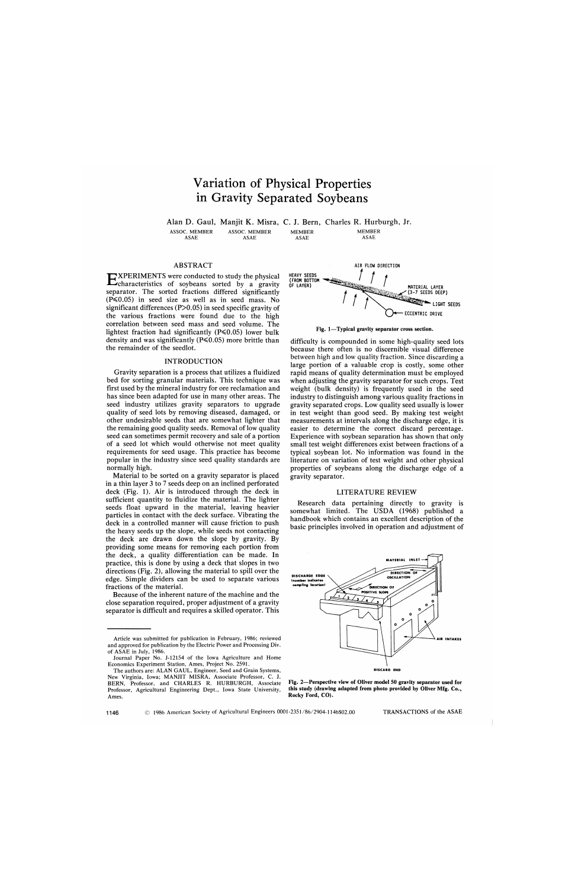# Variation of Physical Properties in Gravity Separated Soybeans

Alan D. Gaul, Manjit K. Misra, C. J. Bern, Charles R. Hurburgh, Jr.

ASSOC. MEMBER ASAE

ASSOC. MEMBER ASAE

MEMBER ASAE

MEMBER ASAE

## ABSTRACT

**EXPERIMENTS** were conducted to study the physical characteristics of soybeans sorted by a gravity characteristics of soybeans sorted by a gravity separator. The sorted fractions differed significantly  $(P \le 0.05)$  in seed size as well as in seed mass. No significant differences (P>0.05) in seed specific gravity of the various fractions were found due to the high correlation between seed mass and seed volume. The lightest fraction had significantly  $(P \le 0.05)$  lower bulk density and was significantly ( $P \le 0.05$ ) more brittle than the remainder of the seedlot.

## INTRODUCTION

Gravity separation is a process that utilizes a fluidized bed for sorting granular materials. This technique was first used by the mineral industry for ore reclamation and has since been adapted for use in many other areas. The seed industry utilizes gravity separators to upgrade quality of seed lots by removing diseased, damaged, or other undesirable seeds that are somewhat lighter that the remaining good quality seeds. Removal of low quality seed can sometimes permit recovery and sale of a portion of a seed lot which would otherwise not meet quality requirements for seed usage. This practice has become popular in the industry since seed quality standards are normally high.

Material to be sorted on a gravity separator is placed in a thin layer 3 to 7 seeds deep on an inclined perforated deck (Fig. 1). Air is introduced through the deck in sufficient quantity to fluidize the material. The lighter seeds float upward in the material, leaving heavier particles in contact with the deck surface. Vibrating the deck in a controlled manner will cause friction to push the heavy seeds up the slope, while seeds not contacting the deck are drawn down the slope by gravity. By providing some means for removing each portion from the deck, a quality differentiation can be made. In practice, this is done by using a deck that slopes in two directions (Fig. 2), allowing the material to spill over the edge. Simple dividers can be used to separate various fractions of the material.

Because of the inherent nature of the machine and the close separation required, proper adjustment of a gravity separator is difficult and requires a skilled operator. This



**Fig. 1—Typical gravity separator cross section.** 

difficulty is compounded in some high-quality seed lots because there often is no discernible visual difference between high and low quality fraction. Since discarding a large portion of a valuable crop is costly, some other rapid means of quality determination must be employed when adjusting the gravity separator for such crops. Test weight (bulk density) is frequently used in the seed industry to distinguish among various quality fractions in gravity separated crops. Low quality seed usually is lower in test weight than good seed. By making test weight measurements at intervals along the discharge edge, it is easier to determine the correct discard percentage. Experience with soybean separation has shown that only small test weight differences exist between fractions of a typical soybean lot. No information was found in the literature on variation of test weight and other physical properties of soybeans along the discharge edge of a gravity separator.

## LITERATURE REVIEW

Research data pertaining directly to gravity is somewhat limited. The USDA (1968) published a handbook which contains an excellent description of the basic principles involved in operation and adjustment of



**Fig. 2—Perspective view of Oliver model 50 gravity separator used for this study (drawing adapted from photo provided by Oliver Mfg. Co., Rocky Ford, CO).** 

Article was submitted for publication in February, 1986; reviewed and approved for publication by the Electric Power and Processing Div. of ASAE in July, 1986.

Journal Paper No. J-12154 of the Iowa Agriculture and Home Economics Experiment Station, Ames, Project No. 2591.

The authors are: ALAN GAUL, Engineer, Seed and Grain Systems, New Virginia, Iowa; MANJIT MISRA, Associate Professor, C. J. BERN, Professor, and CHARLES R. HURBURGH, Associate Professor, Agricultural Engineering Dept., Iowa State University, Ames.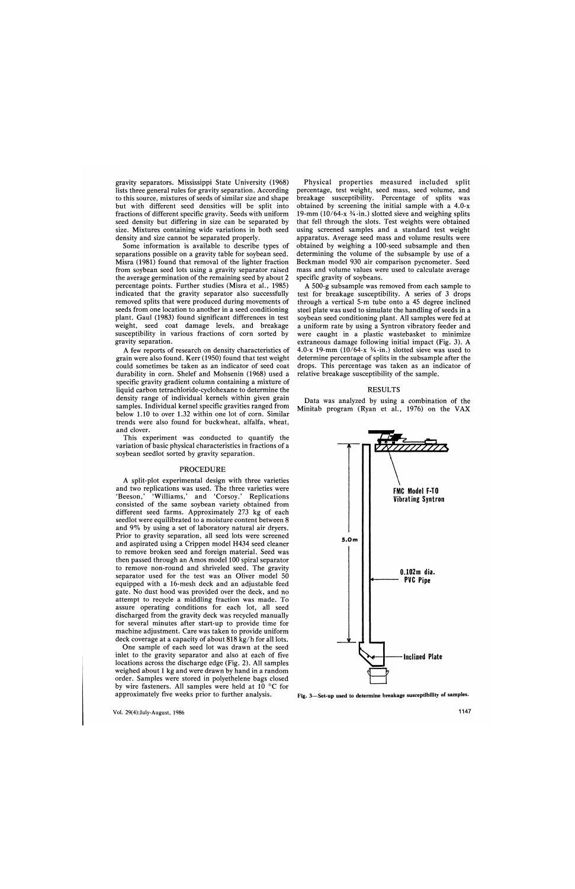gravity separators. Mississippi State University (1968) lists three general rules for gravity separation. According to this source, mixtures of seeds of similar size and shape but with different seed densities will be split into fractions of different specific gravity. Seeds with uniform seed density but differing in size can be separated by size. Mixtures containing wide variations in both seed density and size cannot be separated properly.

Some information is available to describe types of separations possible on a gravity table for soybean seed. Misra (1981) found that removal of the lighter fraction from soybean seed lots using a gravity separator raised the average germination of the remaining seed by about 2 percentage points. Further studies (Misra et al., 1985) indicated that the gravity separator also successfully removed splits that were produced during movements of seeds from one location to another in a seed conditioning plant. Gaul (1983) found significant differences in test weight, seed coat damage levels, and breakage susceptibility in various fractions of corn sorted by gravity separation.

A few reports of research on density characteristics of grain were also found. Kerr (1950) found that test weight could sometimes be taken as an indicator of seed coat durability in corn. Shelef and Mohsenin (1968) used a specific gravity gradient column containing a mixture of liquid carbon tetrachloride-cyclohexane to determine the density range of individual kernels within given grain samples. Individual kernel specific gravities ranged from below 1.10 to over 1.32 within one lot of corn. Similar trends were also found for buckwheat, alfalfa, wheat, and clover.

This experiment was conducted to quantify the variation of basic physical characteristics in fractions of a soybean seedlot sorted by gravity separation.

### PROCEDURE

A split-plot experimental design with three varieties and two replications was used. The three varieties were 'Beeson,' 'Williams,' and 'Corsoy.' Replications consisted of the same soybean variety obtained from different seed farms. Approximately 273 kg of each seedlot were equilibrated to a moisture content between 8 and 9% by using a set of laboratory natural air dryers. Prior to gravity separation, all seed lots were screened and aspirated using a Crippen model H434 seed cleaner to remove broken seed and foreign material. Seed was then passed through an Amos model 100 spiral separator to remove non-round and shriveled seed. The gravity separator used for the test was an Oliver model 50 equipped with a 16-mesh deck and an adjustable feed gate. No dust hood was provided over the deck, and no attempt to recycle a middling fraction was made. To assure operating conditions for each lot, all seed discharged from the gravity deck was recycled manually for several minutes after start-up to provide time for machine adjustment. Care was taken to provide uniform deck coverage at a capacity of about 818 kg/h for all lots.

One sample of each seed lot was drawn at the seed inlet to the gravity separator and also at each of five locations across the discharge edge (Fig. 2). All samples weighed about 1 kg and were drawn by hand in a random order. Samples were stored in polyethelene bags closed by wire fasteners. All samples were held at 10 °C for approximately five weeks prior to further analysis.

Physical properties measured included split percentage, test weight, seed mass, seed volume, and breakage susceptibility. Percentage of splits was obtained by screening the initial sample with a 4.0-x 19-mm  $(10/64-x \frac{3}{4}-in.)$  slotted sieve and weighing splits that fell through the slots. Test weights were obtained using screened samples and a standard test weight apparatus. Average seed mass and volume results were obtained by weighing a 100-seed subsample and then determining the volume of the subsample by use of a Beckman model 930 air comparison pycnometer. Seed mass and volume values were used to calculate average specific gravity of soybeans.

A 500-g subsample was removed from each sample to test for breakage susceptibility. A series of 3 drops through a vertical 5-m tube onto a 45 degree inclined steel plate was used to simulate the handling of seeds in a soybean seed conditioning plant. All samples were fed at a uniform rate by using a Syntron vibratory feeder and were caught in a plastic wastebasket to minimize extraneous damage following initial impact (Fig. 3). A 4.0-x 19-mm (10/64-x  $\frac{3}{4}$ -in.) slotted sieve was used to determine percentage of splits in the subsample after the drops. This percentage was taken as an indicator of relative breakage susceptibility of the sample.

## RESULTS

Data was analyzed by using a combination of the Minitab program (Ryan et al., 1976) on the VAX



**Fig. 3—Set-up used to determine breakage susceptibility of samples.**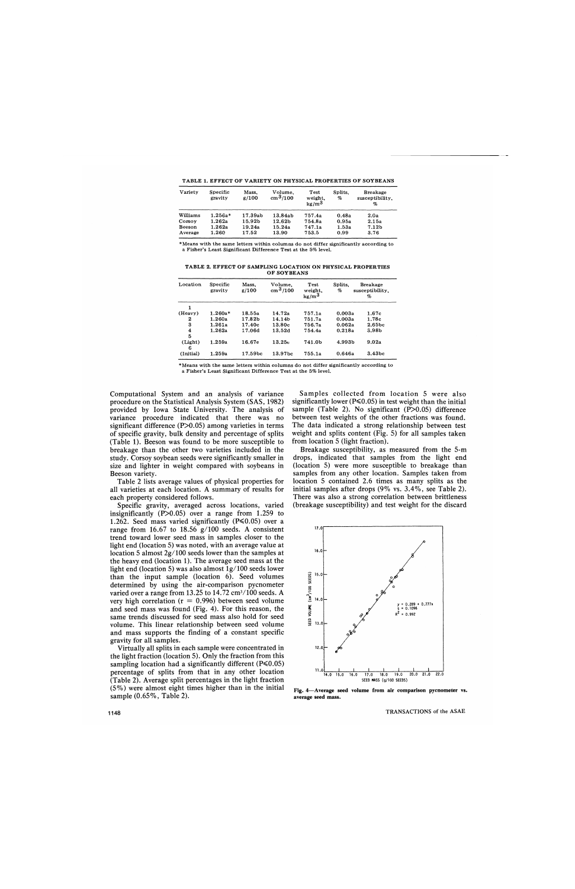**TABLE 1. EFFECT OF VARIETY ON PHYSICAL PROPERTIES OF SOYBEANS** 

| Variety  | Specific<br>gravity | Mass.<br>g/100 | Volume.<br>$\rm cm^{3}/100$ | Test<br>weight.<br>kg/m <sup>3</sup> | Splits.<br>% | <b>Breakage</b><br>susceptibility,<br>% |
|----------|---------------------|----------------|-----------------------------|--------------------------------------|--------------|-----------------------------------------|
| Williams | $1.256a*$           | 17.39ab        | 13.84ab                     | 757.4a                               | 0.48a        | 2.0a                                    |
| Corsov   | 1.262a              | 15.92b         | 12.62 <sub>b</sub>          | 754.8a                               | 0.95a        | 2.15a                                   |
| Beeson   | 1.262a              | 19.24a         | 15.24a                      | 747.1a                               | 1.53a        | 7.12 <sub>b</sub>                       |
| Average  | 1.260               | 17.52          | 13.90                       | 753.5                                | 0.99         | 3.76                                    |

•Means with the same letters within columns do not differ significantly according to a Fisher's Least Significant Difference Test at the 5% level.

**TABLE 2. EFFECT OF SAMPLING LOCATION ON PHYSICAL PROPERTIES OF SOYBEANS** 

| Location     | Specific<br>gravity | Mass,<br>g/100 | Volume.<br>$\rm cm^{3}/100$ | Test<br>weight,<br>kg/m <sup>3</sup> | Splits.<br>% | <b>Breakage</b><br>susceptibility.<br>% |
|--------------|---------------------|----------------|-----------------------------|--------------------------------------|--------------|-----------------------------------------|
| 1            |                     |                |                             |                                      |              |                                         |
| (Heavy)      | $1.260a*$           | 18.55a         | 14.72a                      | 757.1a                               | 0.003a       | 1.67c                                   |
| 2            | 1.260a              | 17.82b         | 14.14b                      | 751.7a                               | 0.003a       | 1.78c                                   |
| 3            | 1.261a              | 17.40c         | 13.80c                      | 756.7a                               | 0.062a       | 2.65 <sub>bc</sub>                      |
| 4            | 1.262a              | 17.06d         | 13.52d                      | 754.4a                               | 0.218a       | 3.98 <sub>b</sub>                       |
| 5            |                     |                |                             |                                      |              |                                         |
| (Light)<br>6 | 1.259a              | 16.67e         | 13.25e                      | 741.0b                               | 4.993b       | 9.02a                                   |
| (Initial)    | 1.259a              | 17.59bc        | 13.97 <sub>bc</sub>         | 755.1a                               | 0.646a       | 3.43bc                                  |

\* Means with the same letters within columns do not differ significantly according to a Fisher's Least Significant Difference Test at the 5% level.

Computational System and an analysis of variance procedure on the Statistical Analysis System (SAS, 1982) provided by Iowa State University. The analysis of variance procedure indicated that there was no significant difference (P>0.05) among varieties in terms of specific gravity, bulk density and percentage of splits (Table 1). Beeson was found to be more susceptible to breakage than the other two varieties included in the study. Corsoy soybean seeds were significantly smaller in size and lighter in weight compared with soybeans in Beeson variety.

Table 2 lists average values of physical properties for all varieties at each location. A summary of results for each property considered follows.

Specific gravity, averaged across locations, varied insignificantly  $(P>0.05)$  over a range from 1.259 to 1.262. Seed mass varied significantly ( $P \le 0.05$ ) over a range from 16.67 to 18.56 g/100 seeds. A consistent trend toward lower seed mass in samples closer to the light end (location 5) was noted, with an average value at location 5 almost 2g/100 seeds lower than the samples at the heavy end (location 1). The average seed mass at the light end (location 5) was also almost lg/100 seeds lower than the input sample (location 6). Seed volumes determined by using the air-comparison pycnometer varied over a range from 13.25 to  $14.72 \text{ cm}^3/100 \text{ seeds. A}$ very high correlation ( $r = 0.996$ ) between seed volume and seed mass was found (Fig. 4). For this reason, the same trends discussed for seed mass also hold for seed volume. This linear relationship between seed volume and mass supports the finding of a constant specific gravity for all samples.

Virtually all splits in each sample were concentrated in the light fraction (location 5). Only the fraction from this sampling location had a significantly different ( $P \le 0.05$ ) percentage of splits from that in any other location (Table 2). Average split percentages in the light fraction (5%) were almost eight times higher than in the initial sample (0.65%, Table 2).

Samples collected from location 5 were also significantly lower ( $P \le 0.05$ ) in test weight than the initial sample (Table 2). No significant  $(P>0.05)$  difference between test weights of the other fractions was found. The data indicated a strong relationship between test weight and splits content (Fig. 5) for all samples taken from location 5 (light fraction).

Breakage susceptibility, as measured from the 5-m drops, indicated that samples from the light end (location 5) were more susceptible to breakage than samples from any other location. Samples taken from location 5 contained 2.6 times as many splits as the initial samples after drops (9% vs. 3.4%, see Table 2). There was also a strong correlation between brittleness (breakage susceptibility) and test weight for the discard



**Fig. 4**—**Average seed volume from air comparison pycnometer vs. average seed mass.**